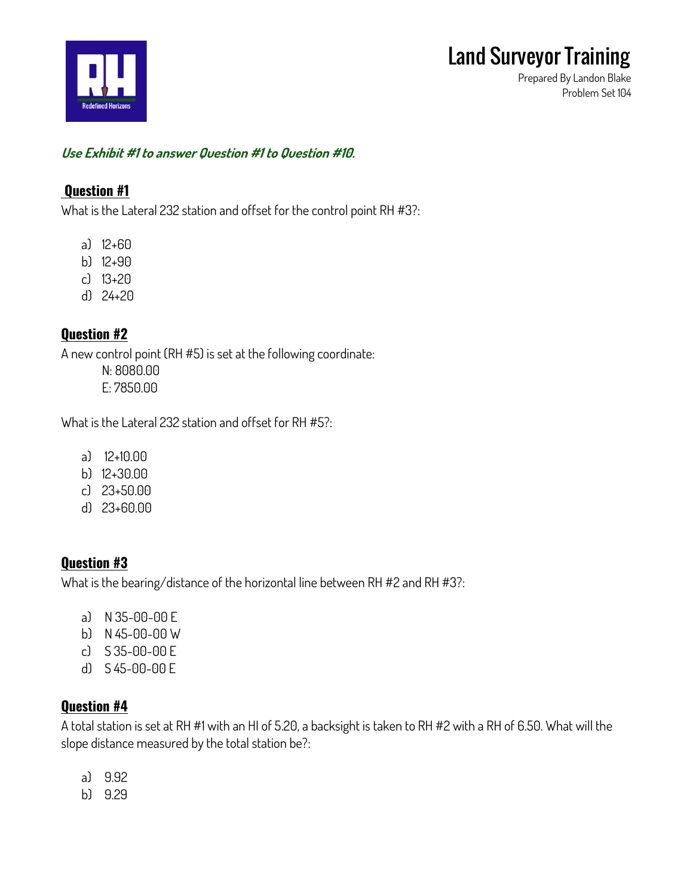

**Prepared By Landon Blake Problem Set 104**

#### **Use Exhibit #1 to answer Question #1 to Question #10.**

#### **Question #1**

**What is the Lateral 232 station and offset for the control point RH #3?:**

- **a) 12+60**
- **b) 12+90**
- **c) 13+20**
- **d) 24+20**

## **Question #2**

**A new control point (RH #5) is set at the following coordinate:**

**N: 8080.00 E: 7850.00**

**What is the Lateral 232 station and offset for RH #5?:**

- **a) 12+10.00**
- **b) 12+30.00**
- **c) 23+50.00**
- **d) 23+60.00**

## **Question #3**

**What is the bearing/distance of the horizontal line between RH #2 and RH #3?:**

- **a) N 35-00-00 E**
- **b) N 45-00-00 W**
- **c) S 35-00-00 E**
- **d) S 45-00-00 E**

## **Question #4**

**A total station is set at RH #1 with an HI of 5.20, a backsight is taken to RH #2 with a RH of 6.50. What will the slope distance measured by the total station be?:**

- **a) 9.92**
- **b) 9.29**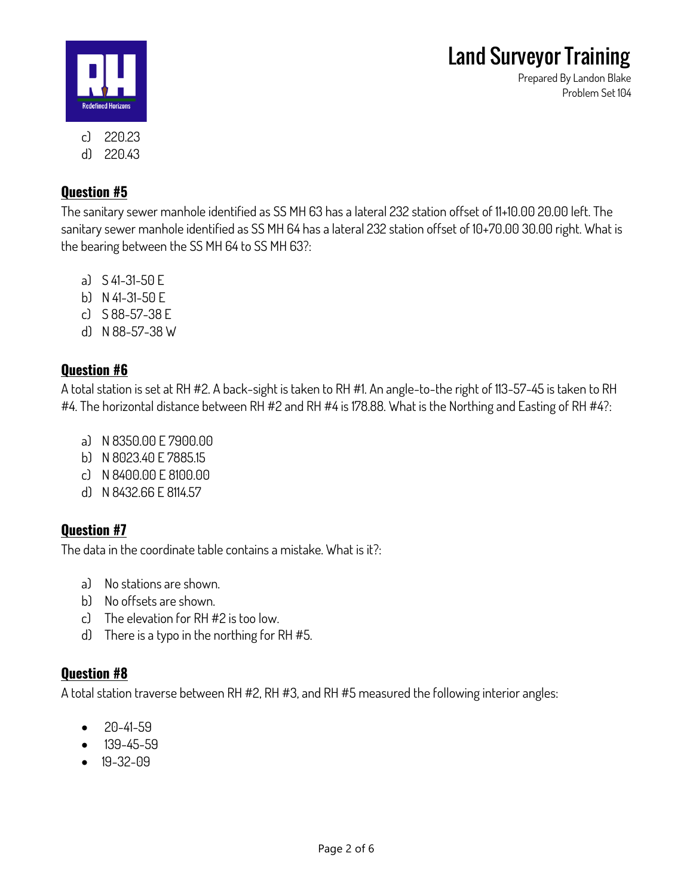**Prepared By Landon Blake**

**Problem Set 104**



**d) 220.43**

# **Question #5**

**The sanitary sewer manhole identified as SS MH 63 has a lateral 232 station offset of 11+10.00 20.00 left. The sanitary sewer manhole identified as SS MH 64 has a lateral 232 station offset of 10+70.00 30.00 right. What is the bearing between the SS MH 64 to SS MH 63?:**

- **a) S 41-31-50 E**
- **b) N 41-31-50 E**
- **c) S 88-57-38 E**
- **d) N 88-57-38 W**

# **Question #6**

**A total station is set at RH #2. A back-sight is taken to RH #1. An angle-to-the right of 113-57-45 is taken to RH #4. The horizontal distance between RH #2 and RH #4 is 178.88. What is the Northing and Easting of RH #4?:**

- **a) N 8350.00 E 7900.00**
- **b) N 8023.40 E 7885.15**
- **c) N 8400.00 E 8100.00**
- **d) N 8432.66 E 8114.57**

# **Question #7**

**The data in the coordinate table contains a mistake. What is it?:**

- **a) No stations are shown.**
- **b) No offsets are shown.**
- **c) The elevation for RH #2 is too low.**
- **d) There is a typo in the northing for RH #5.**

# **Question #8**

**A total station traverse between RH #2, RH #3, and RH #5 measured the following interior angles:**

- **20-41-59**
- **139-45-59**
- **19-32-09**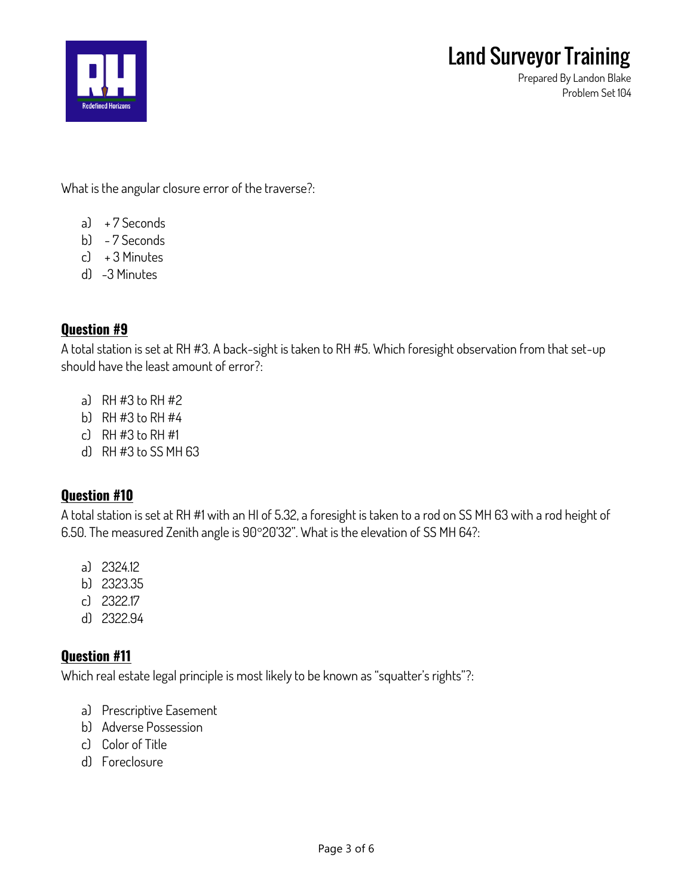

**Prepared By Landon Blake Problem Set 104**

**What is the angular closure error of the traverse?:**

- **a) + 7 Seconds**
- **b) - 7 Seconds**
- **c) + 3 Minutes**
- **d) -3 Minutes**

## **Question #9**

**A total station is set at RH #3. A back-sight is taken to RH #5. Which foresight observation from that set-up should have the least amount of error?:**

- **a) RH #3 to RH #2**
- **b) RH #3 to RH #4**
- **c) RH #3 to RH #1**
- **d) RH #3 to SS MH 63**

## **Question #10**

**A total station is set at RH #1 with an HI of 5.32, a foresight is taken to a rod on SS MH 63 with a rod height of 6.50. The measured Zenith angle is 9020'32". What is the elevation of SS MH 64?:**

- **a) 2324.12**
- **b) 2323.35**
- **c) 2322.17**
- **d) 2322.94**

## **Question #11**

**Which real estate legal principle is most likely to be known as "squatter's rights"?:**

- **a) Prescriptive Easement**
- **b) Adverse Possession**
- **c) Color of Title**
- **d) Foreclosure**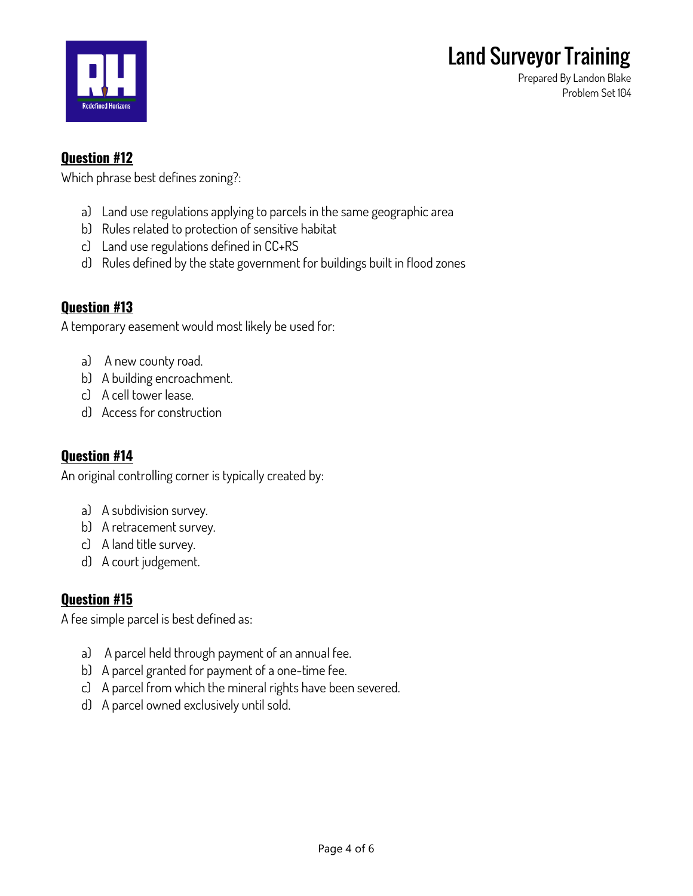

**Prepared By Landon Blake Problem Set 104**

## **Question #12**

**Which phrase best defines zoning?:**

- **a) Land use regulations applying to parcels in the same geographic area**
- **b) Rules related to protection of sensitive habitat**
- **c) Land use regulations defined in CC+RS**
- **d) Rules defined by the state government for buildings built in flood zones**

#### **Question #13**

**A temporary easement would most likely be used for:**

- **a) A new county road.**
- **b) A building encroachment.**
- **c) A cell tower lease.**
- **d) Access for construction**

#### **Question #14**

**An original controlling corner is typically created by:**

- **a) A subdivision survey.**
- **b) A retracement survey.**
- **c) A land title survey.**
- **d) A court judgement.**

#### **Question #15**

**A fee simple parcel is best defined as:**

- **a) A parcel held through payment of an annual fee.**
- **b) A parcel granted for payment of a one-time fee.**
- **c) A parcel from which the mineral rights have been severed.**
- **d) A parcel owned exclusively until sold.**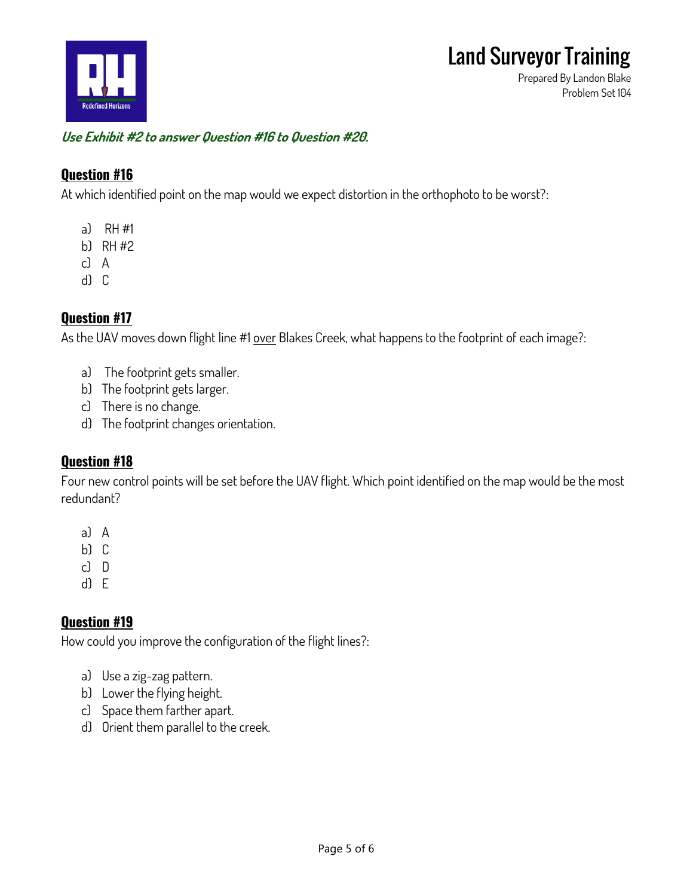

**Prepared By Landon Blake Problem Set 104**

#### **Use Exhibit #2 to answer Question #16 to Question #20.**

#### **Question #16**

**At which identified point on the map would we expect distortion in the orthophoto to be worst?:**

- **a) RH #1**
- **b) RH #2**
- **c) A**
- **d) C**

#### **Question #17**

**As the UAV moves down flight line #1 over Blakes Creek, what happens to the footprint of each image?:**

- **a) The footprint gets smaller.**
- **b) The footprint gets larger.**
- **c) There is no change.**
- **d) The footprint changes orientation.**

#### **Question #18**

**Four new control points will be set before the UAV flight. Which point identified on the map would be the most redundant?**

- **a) A**
- **b) C**
- **c) D**
- **d) E**

## **Question #19**

**How could you improve the configuration of the flight lines?:**

- **a) Use a zig-zag pattern.**
- **b) Lower the flying height.**
- **c) Space them farther apart.**
- **d) Orient them parallel to the creek.**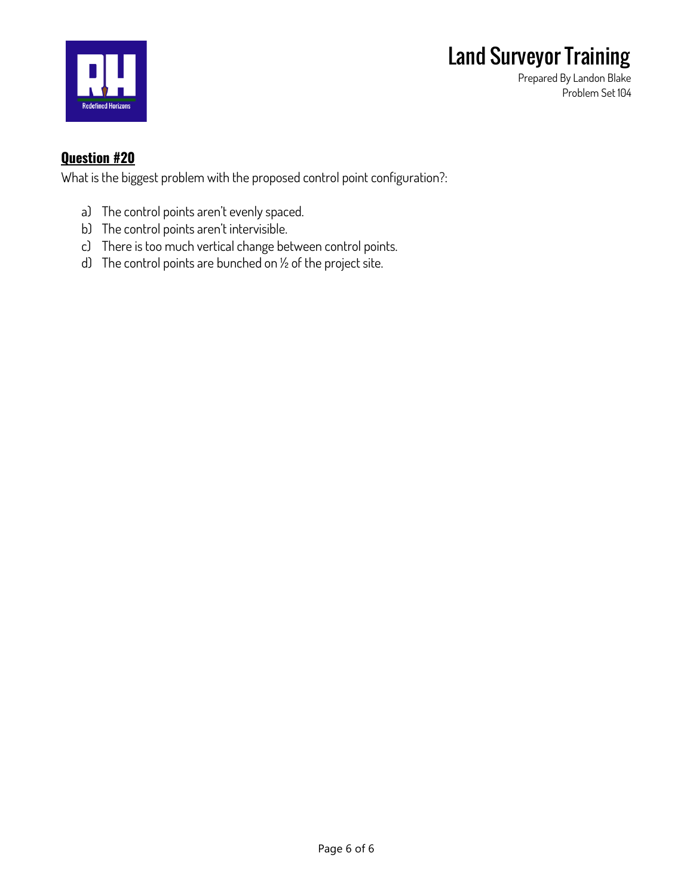



**Prepared By Landon Blake Problem Set 104**

#### **Question #20**

**What is the biggest problem with the proposed control point configuration?:**

- **a) The control points aren't evenly spaced.**
- **b) The control points aren't intervisible.**
- **c) There is too much vertical change between control points.**
- **d) The control points are bunched on ½ of the project site.**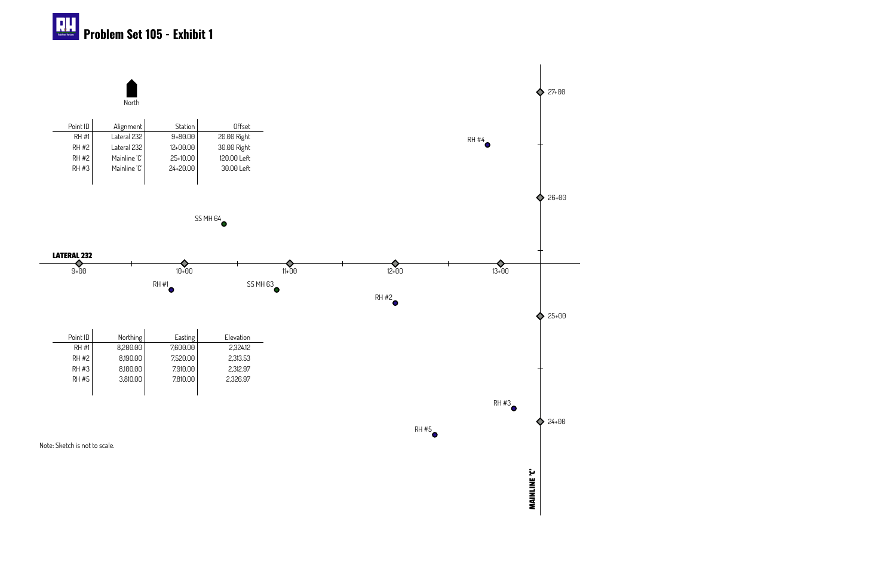